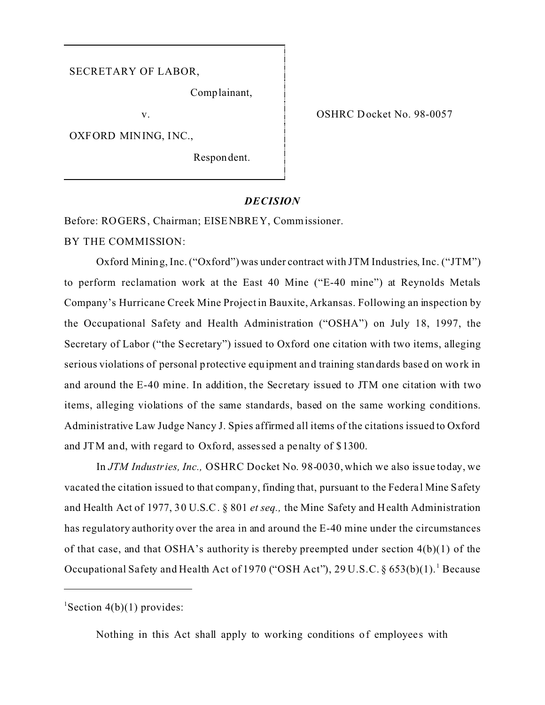## SECRETARY OF LABOR,

Comp lainant,

v.

OXFORD MINING, INC.,

Respon dent.

OSHRC Docket No. 98-0057

## *DECISION*

Before: ROGERS, Chairman; EISENBREY, Commissioner.

BY THE COMMISSION:

Oxford Mining, Inc.("Oxford") was under contract with JTM Industries, Inc. ("JTM") to perform reclamation work at the East 40 Mine ("E-40 mine") at Reynolds Metals Company's Hurricane Creek Mine Project in Bauxite, Arkansas. Following an inspection by the Occupational Safety and Health Administration ("OSHA") on July 18, 1997, the Secretary of Labor ("the Secretary") issued to Oxford one citation with two items, alleging serious violations of personal protective equipment and training standards based on work in and around the E-40 mine. In addition, the Secretary issued to JTM one citation with two items, alleging violations of the same standards, based on the same working conditions. Administrative Law Judge Nancy J. Spies affirmed all items of the citations issued to Oxford and JTM and, with regard to Oxford, assessed a penalty of \$1300.

In *JTM Industries, Inc.,* OSHRC Docket No. 98-0030, which we also issue today, we vacated the citation issued to that company, finding that, pursuant to the Federa l Mine Safety and Health Act of 1977, 30 U.S.C. § 801 *et seq.,* the Mine Safety and H ealth Administration has regulatory authority over the area in and around the E-40 mine under the circumstances of that case, and that OSHA's authority is thereby preempted under section 4(b)(1) of the Occupational Safety and Health Act of 1970 ("OSH Act"), 29 U.S.C. § 653(b)(1).<sup>1</sup> Because

Nothing in this Act shall apply to working conditions of employees with

<sup>&</sup>lt;sup>1</sup>Section  $4(b)(1)$  provides: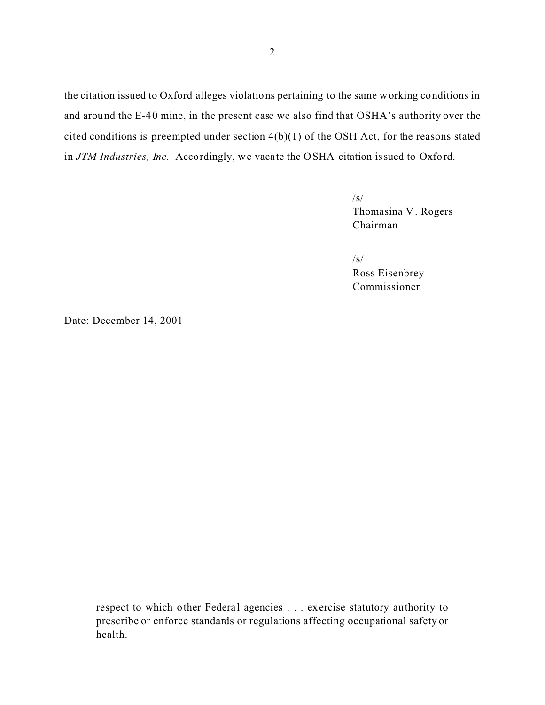the citation issued to Oxford alleges violations pertaining to the same working conditions in and around the E-40 mine, in the present case we also find that OSHA's authority over the cited conditions is preempted under section 4(b)(1) of the OSH Act, for the reasons stated in *JTM Industries, Inc.* Accordingly, we vacate the OSHA citation issued to Oxford.

> $\sqrt{s}$ Thomasina V . Rogers Chairman

/s/ Ross Eisenbrey Commissioner

Date: December 14, 2001

respect to which other Federal agencies . . . exercise statutory authority to prescribe or enforce standards or regulations affecting occupational safety or health.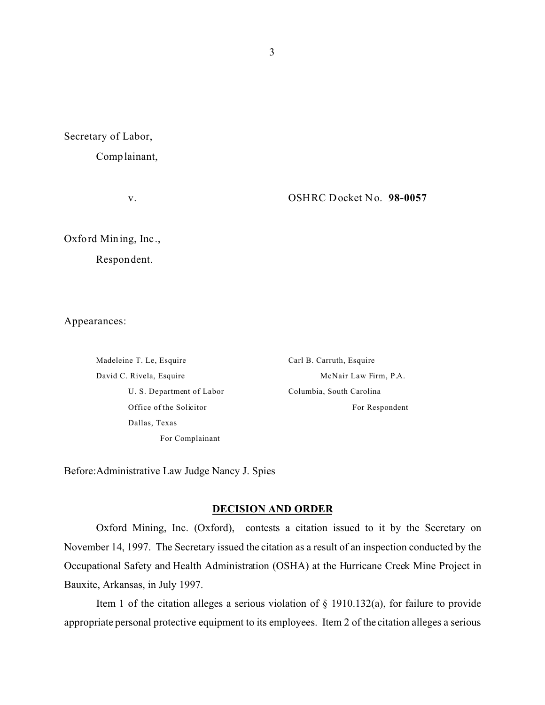Secretary of Labor,

Complainant,

v.

OSHRC Docket No. **98-0057** 

Oxford Mining, Inc.,

Respondent.

Appearances:

Madeleine T. Le, Esquire David C. Rivela, Esquire U. S. Department of Labor Office of the Solicitor Dallas, Texas For Complainant

Carl B. Carruth, Esquire McNair Law Firm, P.A. Columbia, South Carolina For Respondent

Before:Administrative Law Judge Nancy J. Spies

# **DECISION AND ORDER**

Oxford Mining, Inc. (Oxford), contests a citation issued to it by the Secretary on November 14, 1997. The Secretary issued the citation as a result of an inspection conducted by the Occupational Safety and Health Administration (OSHA) at the Hurricane Creek Mine Project in Bauxite, Arkansas, in July 1997.

Item 1 of the citation alleges a serious violation of  $\S$  1910.132(a), for failure to provide appropriate personal protective equipment to its employees. Item 2 of the citation alleges a serious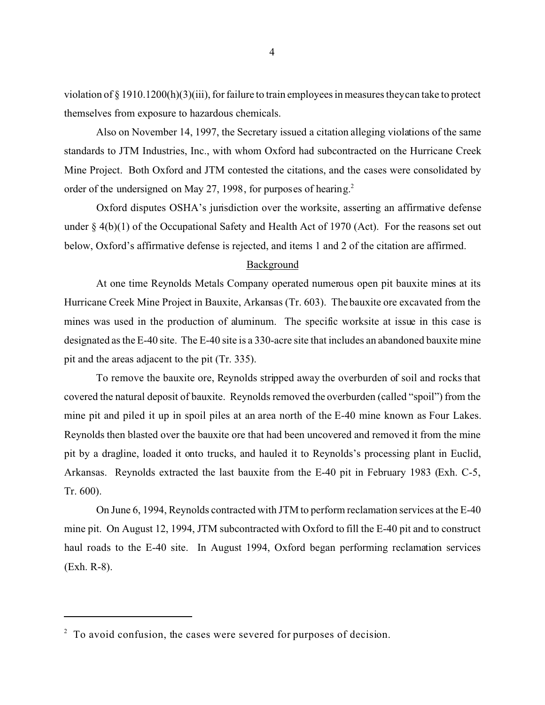violation of  $\S 1910.1200(h)(3)(iii)$ , for failure to train employees in measures they can take to protect themselves from exposure to hazardous chemicals.

Also on November 14, 1997, the Secretary issued a citation alleging violations of the same standards to JTM Industries, Inc., with whom Oxford had subcontracted on the Hurricane Creek Mine Project. Both Oxford and JTM contested the citations, and the cases were consolidated by order of the undersigned on May 27, 1998, for purposes of hearing.<sup>2</sup>

Oxford disputes OSHA's jurisdiction over the worksite, asserting an affirmative defense under  $\S 4(b)(1)$  of the Occupational Safety and Health Act of 1970 (Act). For the reasons set out below, Oxford's affirmative defense is rejected, and items 1 and 2 of the citation are affirmed.

# Background

At one time Reynolds Metals Company operated numerous open pit bauxite mines at its Hurricane Creek Mine Project in Bauxite, Arkansas (Tr. 603). The bauxite ore excavated from the mines was used in the production of aluminum. The specific worksite at issue in this case is designated as the E-40 site. The E-40 site is a 330-acre site that includes an abandoned bauxite mine pit and the areas adjacent to the pit (Tr. 335).

To remove the bauxite ore, Reynolds stripped away the overburden of soil and rocks that covered the natural deposit of bauxite. Reynolds removed the overburden (called "spoil") from the mine pit and piled it up in spoil piles at an area north of the E-40 mine known as Four Lakes. Reynolds then blasted over the bauxite ore that had been uncovered and removed it from the mine pit by a dragline, loaded it onto trucks, and hauled it to Reynolds's processing plant in Euclid, Arkansas. Reynolds extracted the last bauxite from the E-40 pit in February 1983 (Exh. C-5, Tr. 600).

On June 6, 1994, Reynolds contracted with JTM to perform reclamation services at the E-40 mine pit. On August 12, 1994, JTM subcontracted with Oxford to fill the E-40 pit and to construct haul roads to the E-40 site. In August 1994, Oxford began performing reclamation services (Exh. R-8).

 $2 \text{ To avoid confusion, the cases were served for purposes of decision.}$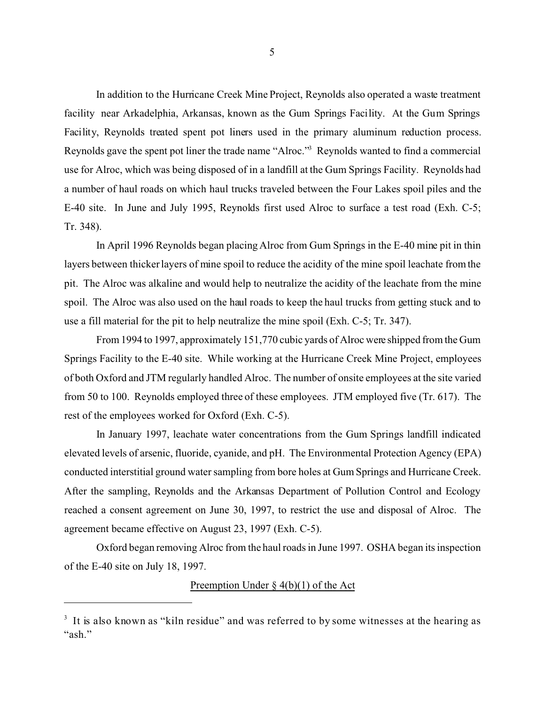In addition to the Hurricane Creek Mine Project, Reynolds also operated a waste treatment facility near Arkadelphia, Arkansas, known as the Gum Springs Facility. At the Gum Springs Facility, Reynolds treated spent pot liners used in the primary aluminum reduction process. Reynolds gave the spent pot liner the trade name "Alroc."3 Reynolds wanted to find a commercial use for Alroc, which was being disposed of in a landfill at the Gum Springs Facility. Reynolds had a number of haul roads on which haul trucks traveled between the Four Lakes spoil piles and the E-40 site. In June and July 1995, Reynolds first used Alroc to surface a test road (Exh. C-5; Tr. 348).

In April 1996 Reynolds began placing Alroc from Gum Springs in the E-40 mine pit in thin layers between thicker layers of mine spoil to reduce the acidity of the mine spoil leachate from the pit. The Alroc was alkaline and would help to neutralize the acidity of the leachate from the mine spoil. The Alroc was also used on the haul roads to keep the haul trucks from getting stuck and to use a fill material for the pit to help neutralize the mine spoil (Exh. C-5; Tr. 347).

From 1994 to 1997, approximately 151,770 cubic yards of Alroc were shipped from the Gum Springs Facility to the E-40 site. While working at the Hurricane Creek Mine Project, employees of both Oxford and JTM regularly handled Alroc. The number of onsite employees at the site varied from 50 to 100. Reynolds employed three of these employees. JTM employed five (Tr. 617). The rest of the employees worked for Oxford (Exh. C-5).

In January 1997, leachate water concentrations from the Gum Springs landfill indicated elevated levels of arsenic, fluoride, cyanide, and pH. The Environmental Protection Agency (EPA) conducted interstitial ground water sampling from bore holes at Gum Springs and Hurricane Creek. After the sampling, Reynolds and the Arkansas Department of Pollution Control and Ecology reached a consent agreement on June 30, 1997, to restrict the use and disposal of Alroc. The agreement became effective on August 23, 1997 (Exh. C-5).

Oxford began removing Alroc from the haul roads in June 1997. OSHA began its inspection of the E-40 site on July 18, 1997.

# Preemption Under  $\S$  4(b)(1) of the Act

<sup>&</sup>lt;sup>3</sup> It is also known as "kiln residue" and was referred to by some witnesses at the hearing as "ash."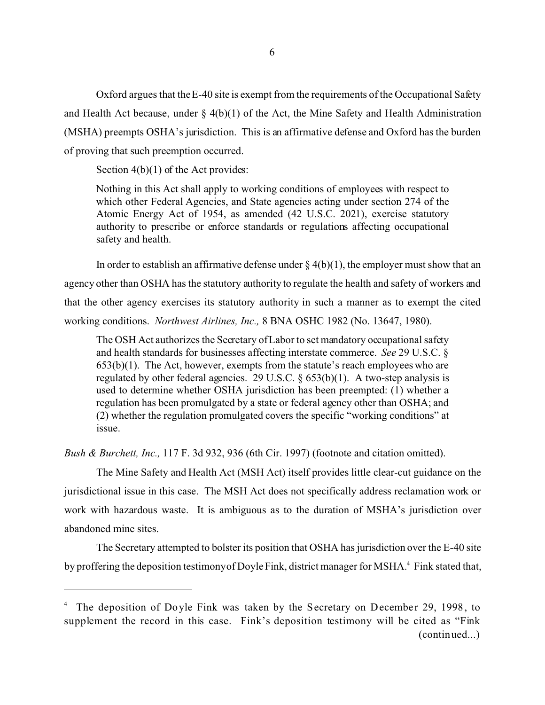Oxford argues that the E-40 site is exempt from the requirements of the Occupational Safety and Health Act because, under  $\S$  4(b)(1) of the Act, the Mine Safety and Health Administration (MSHA) preempts OSHA's jurisdiction. This is an affirmative defense and Oxford has the burden of proving that such preemption occurred.

Section  $4(b)(1)$  of the Act provides:

Nothing in this Act shall apply to working conditions of employees with respect to which other Federal Agencies, and State agencies acting under section 274 of the Atomic Energy Act of 1954, as amended (42 U.S.C. 2021), exercise statutory authority to prescribe or enforce standards or regulations affecting occupational safety and health.

In order to establish an affirmative defense under  $\S 4(b)(1)$ , the employer must show that an agency other than OSHA has the statutory authority to regulate the health and safety of workers and that the other agency exercises its statutory authority in such a manner as to exempt the cited working conditions. *Northwest Airlines, Inc.,* 8 BNA OSHC 1982 (No. 13647, 1980).

The OSH Act authorizes the Secretary of Labor to set mandatory occupational safety and health standards for businesses affecting interstate commerce. *See* 29 U.S.C. §  $653(b)(1)$ . The Act, however, exempts from the statute's reach employees who are regulated by other federal agencies. 29 U.S.C.  $\S$  653(b)(1). A two-step analysis is used to determine whether OSHA jurisdiction has been preempted: (1) whether a regulation has been promulgated by a state or federal agency other than OSHA; and (2) whether the regulation promulgated covers the specific "working conditions" at issue.

*Bush & Burchett, Inc.,* 117 F. 3d 932, 936 (6th Cir. 1997) (footnote and citation omitted).

The Mine Safety and Health Act (MSH Act) itself provides little clear-cut guidance on the jurisdictional issue in this case. The MSH Act does not specifically address reclamation work or work with hazardous waste. It is ambiguous as to the duration of MSHA's jurisdiction over abandoned mine sites.

The Secretary attempted to bolster its position that OSHA has jurisdiction over the E-40 site by proffering the deposition testimony of Doyle Fink, district manager for MSHA.<sup>4</sup> Fink stated that,

<sup>&</sup>lt;sup>4</sup> The deposition of Doyle Fink was taken by the Secretary on December 29, 1998, to supplement the record in this case. Fink's deposition testimony will be cited as "Fink (continued...)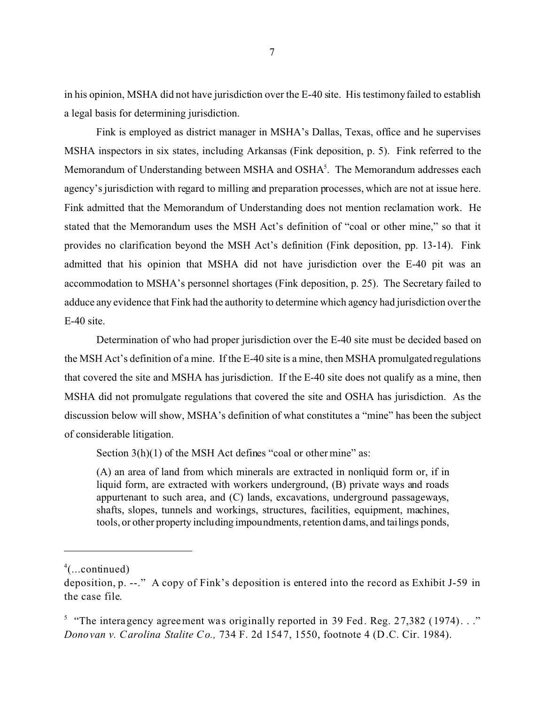in his opinion, MSHA did not have jurisdiction over the E-40 site. His testimony failed to establish a legal basis for determining jurisdiction.

Fink is employed as district manager in MSHA's Dallas, Texas, office and he supervises MSHA inspectors in six states, including Arkansas (Fink deposition, p. 5). Fink referred to the Memorandum of Understanding between MSHA and OSHA<sup>5</sup>. The Memorandum addresses each agency's jurisdiction with regard to milling and preparation processes, which are not at issue here. Fink admitted that the Memorandum of Understanding does not mention reclamation work. He stated that the Memorandum uses the MSH Act's definition of "coal or other mine," so that it provides no clarification beyond the MSH Act's definition (Fink deposition, pp. 13-14). Fink admitted that his opinion that MSHA did not have jurisdiction over the E-40 pit was an accommodation to MSHA's personnel shortages (Fink deposition, p. 25). The Secretary failed to adduce any evidence that Fink had the authority to determine which agency had jurisdiction over the E-40 site.

Determination of who had proper jurisdiction over the E-40 site must be decided based on the MSH Act's definition of a mine. If the E-40 site is a mine, then MSHA promulgated regulations that covered the site and MSHA has jurisdiction. If the E-40 site does not qualify as a mine, then MSHA did not promulgate regulations that covered the site and OSHA has jurisdiction. As the discussion below will show, MSHA's definition of what constitutes a "mine" has been the subject of considerable litigation.

Section 3(h)(1) of the MSH Act defines "coal or other mine" as:

(A) an area of land from which minerals are extracted in nonliquid form or, if in liquid form, are extracted with workers underground, (B) private ways and roads appurtenant to such area, and (C) lands, excavations, underground passageways, shafts, slopes, tunnels and workings, structures, facilities, equipment, machines, tools, or other property including impoundments, retention dams, and tailings ponds,

 $4$ (...continued)

deposition, p. --." A copy of Fink's deposition is entered into the record as Exhibit J-59 in the case file.

<sup>&</sup>lt;sup>5</sup> "The interagency agreement was originally reported in 39 Fed. Reg. 27,382 (1974)..." *Donovan v. Carolina Stalite Co.,* 734 F. 2d 1547, 1550, footnote 4 (D.C. Cir. 1984).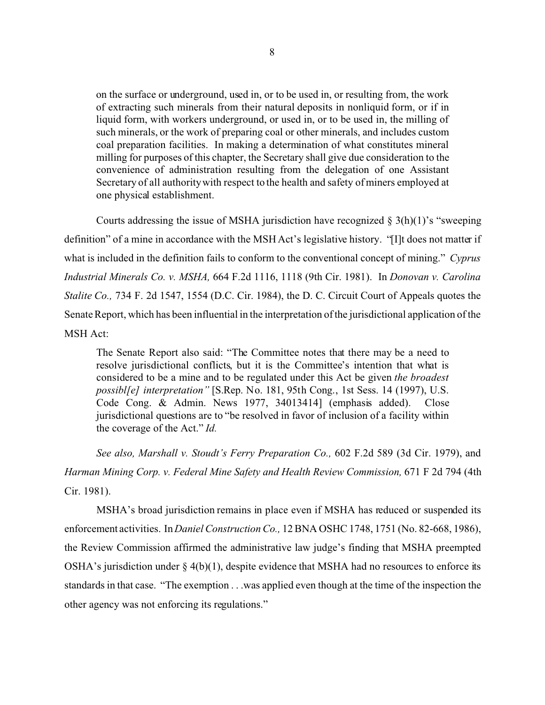on the surface or underground, used in, or to be used in, or resulting from, the work of extracting such minerals from their natural deposits in nonliquid form, or if in liquid form, with workers underground, or used in, or to be used in, the milling of such minerals, or the work of preparing coal or other minerals, and includes custom coal preparation facilities. In making a determination of what constitutes mineral milling for purposes of this chapter, the Secretary shall give due consideration to the convenience of administration resulting from the delegation of one Assistant Secretary of all authority with respect to the health and safety of miners employed at one physical establishment.

Courts addressing the issue of MSHA jurisdiction have recognized  $\S 3(h)(1)$ 's "sweeping definition" of a mine in accordance with the MSH Act's legislative history. "[I]t does not matter if what is included in the definition fails to conform to the conventional concept of mining." *Cyprus Industrial Minerals Co. v. MSHA,* 664 F.2d 1116, 1118 (9th Cir. 1981). In *Donovan v. Carolina Stalite Co.,* 734 F. 2d 1547, 1554 (D.C. Cir. 1984), the D. C. Circuit Court of Appeals quotes the Senate Report, which has been influential in the interpretation of the jurisdictional application of the MSH Act:

The Senate Report also said: "The Committee notes that there may be a need to resolve jurisdictional conflicts, but it is the Committee's intention that what is considered to be a mine and to be regulated under this Act be given *the broadest possibl[e] interpretation"* [S.Rep. No. 181, 95th Cong., 1st Sess. 14 (1997), U.S. Code Cong. & Admin. News 1977, 34013414] (emphasis added). Close jurisdictional questions are to "be resolved in favor of inclusion of a facility within the coverage of the Act." *Id.* 

*See also, Marshall v. Stoudt's Ferry Preparation Co.,* 602 F.2d 589 (3d Cir. 1979), and *Harman Mining Corp. v. Federal Mine Safety and Health Review Commission,* 671 F 2d 794 (4th Cir. 1981).

MSHA's broad jurisdiction remains in place even if MSHA has reduced or suspended its enforcement activities. In *Daniel Construction Co.,* 12 BNA OSHC 1748, 1751 (No. 82-668, 1986), the Review Commission affirmed the administrative law judge's finding that MSHA preempted OSHA's jurisdiction under  $\S$  4(b)(1), despite evidence that MSHA had no resources to enforce its standards in that case. "The exemption . . .was applied even though at the time of the inspection the other agency was not enforcing its regulations."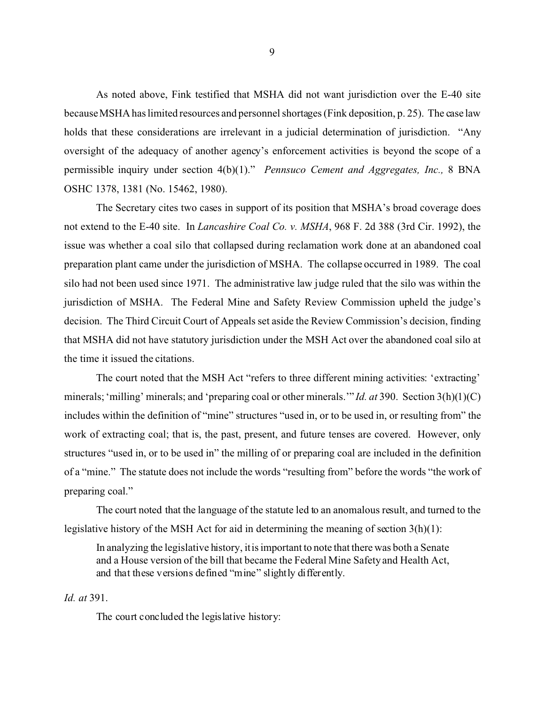As noted above, Fink testified that MSHA did not want jurisdiction over the E-40 site because MSHA has limited resources and personnel shortages (Fink deposition, p. 25). The case law holds that these considerations are irrelevant in a judicial determination of jurisdiction. "Any oversight of the adequacy of another agency's enforcement activities is beyond the scope of a permissible inquiry under section 4(b)(1)." *Pennsuco Cement and Aggregates, Inc.,* 8 BNA OSHC 1378, 1381 (No. 15462, 1980).

The Secretary cites two cases in support of its position that MSHA's broad coverage does not extend to the E-40 site. In *Lancashire Coal Co. v. MSHA*, 968 F. 2d 388 (3rd Cir. 1992), the issue was whether a coal silo that collapsed during reclamation work done at an abandoned coal preparation plant came under the jurisdiction of MSHA. The collapse occurred in 1989. The coal silo had not been used since 1971. The administrative law judge ruled that the silo was within the jurisdiction of MSHA. The Federal Mine and Safety Review Commission upheld the judge's decision. The Third Circuit Court of Appeals set aside the Review Commission's decision, finding that MSHA did not have statutory jurisdiction under the MSH Act over the abandoned coal silo at the time it issued the citations.

The court noted that the MSH Act "refers to three different mining activities: 'extracting' minerals; 'milling' minerals; and 'preparing coal or other minerals.'" *Id. at* 390. Section 3(h)(1)(C) includes within the definition of "mine" structures "used in, or to be used in, or resulting from" the work of extracting coal; that is, the past, present, and future tenses are covered. However, only structures "used in, or to be used in" the milling of or preparing coal are included in the definition of a "mine." The statute does not include the words "resulting from" before the words "the work of preparing coal."

The court noted that the language of the statute led to an anomalous result, and turned to the legislative history of the MSH Act for aid in determining the meaning of section 3(h)(1):

In analyzing the legislative history, it is important to note that there was both a Senate and a House version of the bill that became the Federal Mine Safety and Health Act, and that these versions defined "mine" slightly differently.

*Id. at* 391.

The court concluded the legislative history: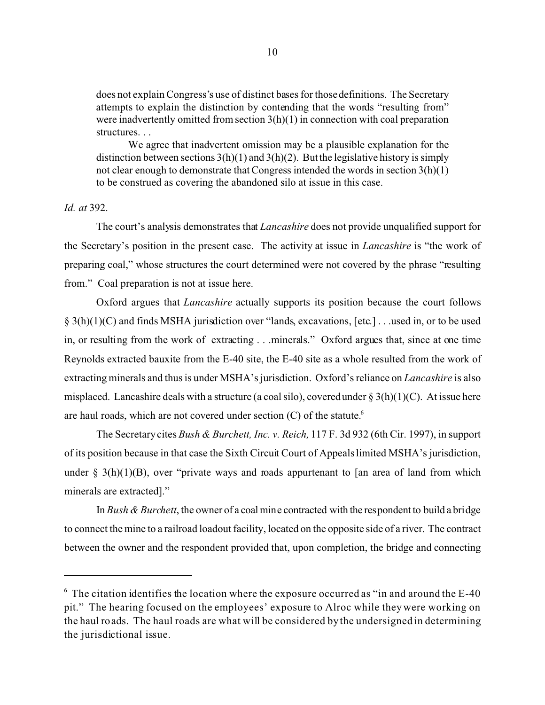does not explain Congress's use of distinct bases for those definitions. The Secretary attempts to explain the distinction by contending that the words "resulting from" were inadvertently omitted from section 3(h)(1) in connection with coal preparation structures. . .

We agree that inadvertent omission may be a plausible explanation for the distinction between sections  $3(h)(1)$  and  $3(h)(2)$ . But the legislative history is simply not clear enough to demonstrate that Congress intended the words in section 3(h)(1) to be construed as covering the abandoned silo at issue in this case.

# *Id. at* 392.

The court's analysis demonstrates that *Lancashire* does not provide unqualified support for the Secretary's position in the present case. The activity at issue in *Lancashire* is "the work of preparing coal," whose structures the court determined were not covered by the phrase "resulting from." Coal preparation is not at issue here.

Oxford argues that *Lancashire* actually supports its position because the court follows § 3(h)(1)(C) and finds MSHA jurisdiction over "lands, excavations, [etc.] . . .used in, or to be used in, or resulting from the work of extracting . . .minerals." Oxford argues that, since at one time Reynolds extracted bauxite from the E-40 site, the E-40 site as a whole resulted from the work of extracting minerals and thus is under MSHA's jurisdiction. Oxford's reliance on *Lancashire* is also misplaced. Lancashire deals with a structure (a coal silo), covered under  $\S 3(h)(1)(C)$ . At issue here are haul roads, which are not covered under section (C) of the statute.<sup>6</sup>

The Secretary cites *Bush & Burchett, Inc. v. Reich,* 117 F. 3d 932 (6th Cir. 1997), in support of its position because in that case the Sixth Circuit Court of Appeals limited MSHA's jurisdiction, under §  $3(h)(1)(B)$ , over "private ways and roads appurtenant to [an area of land from which minerals are extracted]."

In *Bush & Burchett*, the owner of a coal mine contracted with the respondent to build a bridge to connect the mine to a railroad loadout facility, located on the opposite side of a river. The contract between the owner and the respondent provided that, upon completion, the bridge and connecting

 $6\text{ The citation identifies the location where the exposure occurred as "in and around the E-40"$ pit." The hearing focused on the employees' exposure to Alroc while they were working on the haul roads. The haul roads are what will be considered by the undersigned in determining the jurisdictional issue.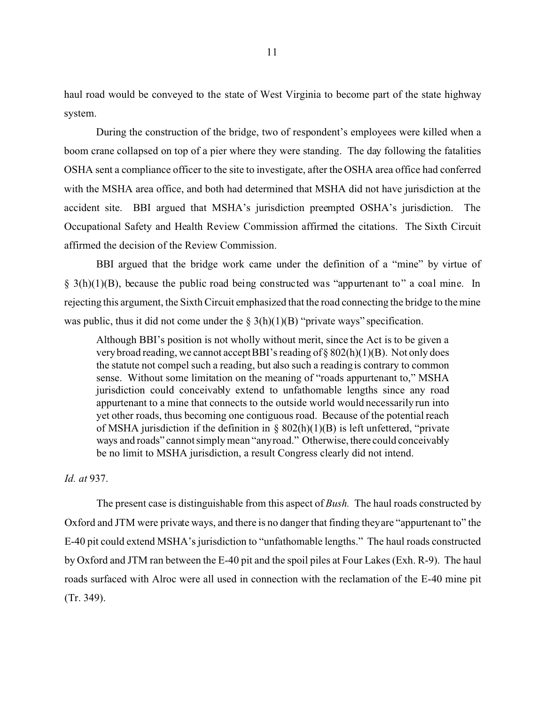haul road would be conveyed to the state of West Virginia to become part of the state highway system.

During the construction of the bridge, two of respondent's employees were killed when a boom crane collapsed on top of a pier where they were standing. The day following the fatalities OSHA sent a compliance officer to the site to investigate, after the OSHA area office had conferred with the MSHA area office, and both had determined that MSHA did not have jurisdiction at the accident site. BBI argued that MSHA's jurisdiction preempted OSHA's jurisdiction. The Occupational Safety and Health Review Commission affirmed the citations. The Sixth Circuit affirmed the decision of the Review Commission.

BBI argued that the bridge work came under the definition of a "mine" by virtue of  $\S$  3(h)(1)(B), because the public road being constructed was "appurtenant to" a coal mine. In rejecting this argument, the Sixth Circuit emphasized that the road connecting the bridge to the mine was public, thus it did not come under the  $\S 3(h)(1)(B)$  "private ways" specification.

Although BBI's position is not wholly without merit, since the Act is to be given a very broad reading, we cannot accept BBI's reading of § 802(h)(1)(B). Not only does the statute not compel such a reading, but also such a reading is contrary to common sense. Without some limitation on the meaning of "roads appurtenant to," MSHA jurisdiction could conceivably extend to unfathomable lengths since any road appurtenant to a mine that connects to the outside world would necessarily run into yet other roads, thus becoming one contiguous road. Because of the potential reach of MSHA jurisdiction if the definition in  $\S$  802(h)(1)(B) is left unfettered, "private ways and roads" cannot simply mean "anyroad." Otherwise, there could conceivably be no limit to MSHA jurisdiction, a result Congress clearly did not intend.

### *Id. at* 937.

The present case is distinguishable from this aspect of *Bush.* The haul roads constructed by Oxford and JTM were private ways, and there is no danger that finding theyare "appurtenant to" the E-40 pit could extend MSHA's jurisdiction to "unfathomable lengths." The haul roads constructed by Oxford and JTM ran between the E-40 pit and the spoil piles at Four Lakes (Exh. R-9). The haul roads surfaced with Alroc were all used in connection with the reclamation of the E-40 mine pit (Tr. 349).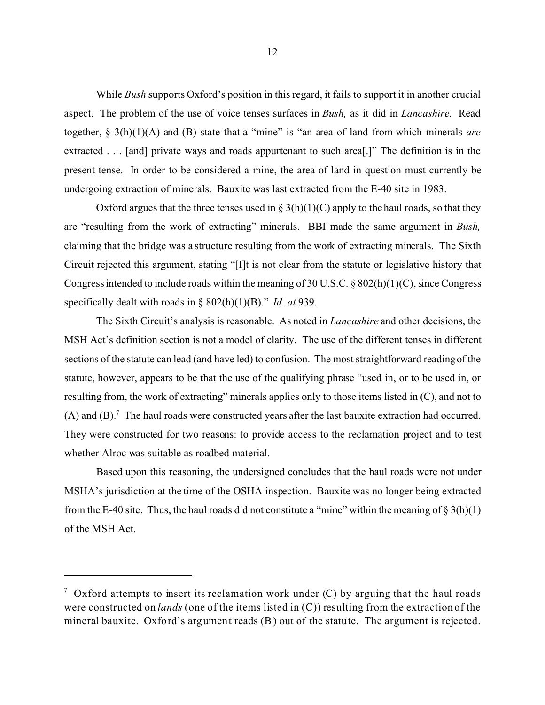While *Bush* supports Oxford's position in this regard, it fails to support it in another crucial aspect. The problem of the use of voice tenses surfaces in *Bush,* as it did in *Lancashire.* Read together, § 3(h)(1)(A) and (B) state that a "mine" is "an area of land from which minerals *are*  extracted . . . [and] private ways and roads appurtenant to such area[.]" The definition is in the present tense. In order to be considered a mine, the area of land in question must currently be undergoing extraction of minerals. Bauxite was last extracted from the E-40 site in 1983.

Oxford argues that the three tenses used in  $\S 3(h)(1)(C)$  apply to the haul roads, so that they are "resulting from the work of extracting" minerals. BBI made the same argument in *Bush,*  claiming that the bridge was a structure resulting from the work of extracting minerals. The Sixth Circuit rejected this argument, stating "[I]t is not clear from the statute or legislative history that Congress intended to include roads within the meaning of 30 U.S.C. § 802(h)(1)(C), since Congress specifically dealt with roads in § 802(h)(1)(B)." *Id. at* 939.

The Sixth Circuit's analysis is reasonable. As noted in *Lancashire* and other decisions, the MSH Act's definition section is not a model of clarity. The use of the different tenses in different sections of the statute can lead (and have led) to confusion. The most straightforward reading of the statute, however, appears to be that the use of the qualifying phrase "used in, or to be used in, or resulting from, the work of extracting" minerals applies only to those items listed in (C), and not to  $(A)$  and  $(B)$ .<sup>7</sup> The haul roads were constructed years after the last bauxite extraction had occurred. They were constructed for two reasons: to provide access to the reclamation project and to test whether Alroc was suitable as roadbed material.

Based upon this reasoning, the undersigned concludes that the haul roads were not under MSHA's jurisdiction at the time of the OSHA inspection. Bauxite was no longer being extracted from the E-40 site. Thus, the haul roads did not constitute a "mine" within the meaning of  $\S 3(h)(1)$ of the MSH Act.

<sup>&</sup>lt;sup>7</sup> Oxford attempts to insert its reclamation work under (C) by arguing that the haul roads were constructed on *lands* (one of the items listed in (C)) resulting from the extraction of the mineral bauxite. Oxford's argument reads (B) out of the statute. The argument is rejected.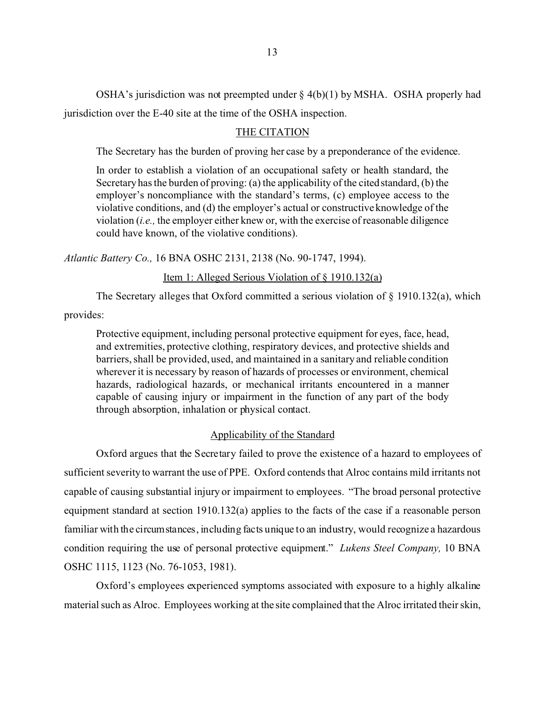OSHA's jurisdiction was not preempted under  $\S$  4(b)(1) by MSHA. OSHA properly had jurisdiction over the E-40 site at the time of the OSHA inspection.

## THE CITATION

The Secretary has the burden of proving her case by a preponderance of the evidence.

In order to establish a violation of an occupational safety or health standard, the Secretary has the burden of proving: (a) the applicability of the cited standard, (b) the employer's noncompliance with the standard's terms, (c) employee access to the violative conditions, and (d) the employer's actual or constructive knowledge of the violation (*i.e.,* the employer either knew or, with the exercise of reasonable diligence could have known, of the violative conditions).

*Atlantic Battery Co.,* 16 BNA OSHC 2131, 2138 (No. 90-1747, 1994).

# Item 1: Alleged Serious Violation of § 1910.132(a)

The Secretary alleges that Oxford committed a serious violation of  $\S$  1910.132(a), which

provides:

Protective equipment, including personal protective equipment for eyes, face, head, and extremities, protective clothing, respiratory devices, and protective shields and barriers, shall be provided, used, and maintained in a sanitary and reliable condition wherever it is necessary by reason of hazards of processes or environment, chemical hazards, radiological hazards, or mechanical irritants encountered in a manner capable of causing injury or impairment in the function of any part of the body through absorption, inhalation or physical contact.

#### Applicability of the Standard

Oxford argues that the Secretary failed to prove the existence of a hazard to employees of sufficient severity to warrant the use of PPE. Oxford contends that Alroc contains mild irritants not capable of causing substantial injury or impairment to employees. "The broad personal protective equipment standard at section 1910.132(a) applies to the facts of the case if a reasonable person familiar with the circumstances, including facts unique to an industry, would recognize a hazardous condition requiring the use of personal protective equipment." *Lukens Steel Company,* 10 BNA OSHC 1115, 1123 (No. 76-1053, 1981).

Oxford's employees experienced symptoms associated with exposure to a highly alkaline material such as Alroc. Employees working at the site complained that the Alroc irritated their skin,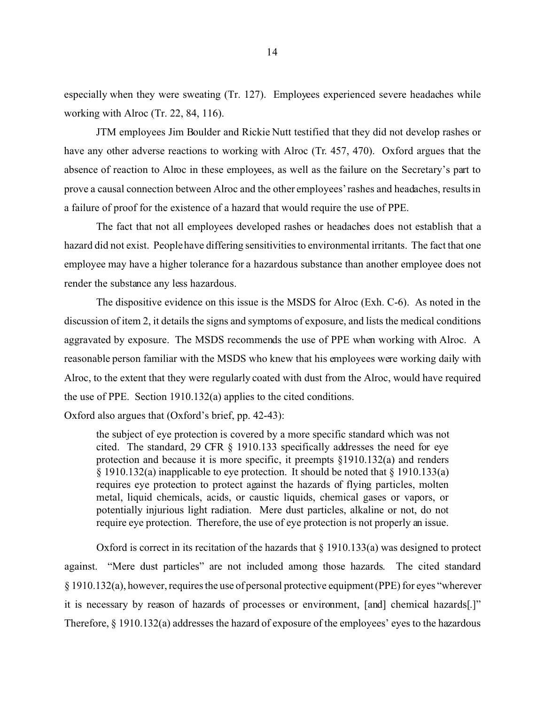especially when they were sweating (Tr. 127). Employees experienced severe headaches while working with Alroc (Tr. 22, 84, 116).

JTM employees Jim Boulder and Rickie Nutt testified that they did not develop rashes or have any other adverse reactions to working with Alroc (Tr. 457, 470). Oxford argues that the absence of reaction to Alroc in these employees, as well as the failure on the Secretary's part to prove a causal connection between Alroc and the other employees' rashes and headaches, results in a failure of proof for the existence of a hazard that would require the use of PPE.

The fact that not all employees developed rashes or headaches does not establish that a hazard did not exist. People have differing sensitivities to environmental irritants. The fact that one employee may have a higher tolerance for a hazardous substance than another employee does not render the substance any less hazardous.

The dispositive evidence on this issue is the MSDS for Alroc (Exh. C-6). As noted in the discussion of item 2, it details the signs and symptoms of exposure, and lists the medical conditions aggravated by exposure. The MSDS recommends the use of PPE when working with Alroc. A reasonable person familiar with the MSDS who knew that his employees were working daily with Alroc, to the extent that they were regularly coated with dust from the Alroc, would have required the use of PPE. Section 1910.132(a) applies to the cited conditions.

Oxford also argues that (Oxford's brief, pp. 42-43):

the subject of eye protection is covered by a more specific standard which was not cited. The standard, 29 CFR § 1910.133 specifically addresses the need for eye protection and because it is more specific, it preempts §1910.132(a) and renders § 1910.132(a) inapplicable to eye protection. It should be noted that § 1910.133(a) requires eye protection to protect against the hazards of flying particles, molten metal, liquid chemicals, acids, or caustic liquids, chemical gases or vapors, or potentially injurious light radiation. Mere dust particles, alkaline or not, do not require eye protection. Therefore, the use of eye protection is not properly an issue.

Oxford is correct in its recitation of the hazards that § 1910.133(a) was designed to protect against. "Mere dust particles" are not included among those hazards. The cited standard § 1910.132(a), however, requires the use of personal protective equipment (PPE) for eyes "wherever it is necessary by reason of hazards of processes or environment, [and] chemical hazards[.]" Therefore, § 1910.132(a) addresses the hazard of exposure of the employees' eyes to the hazardous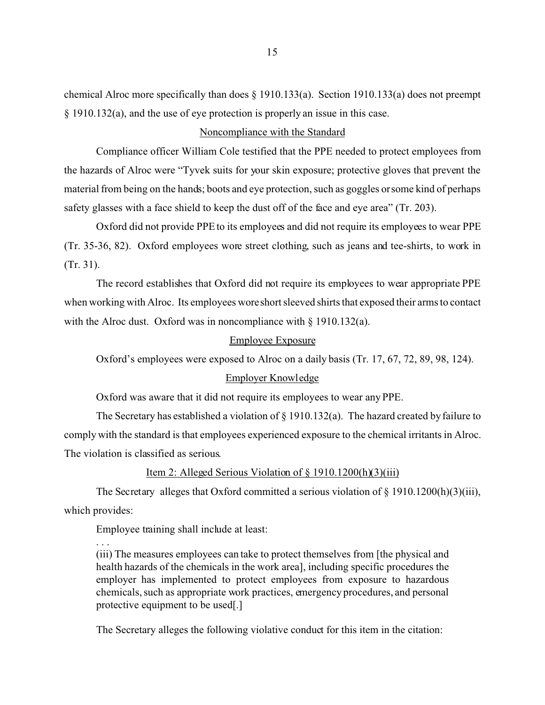chemical Alroc more specifically than does § 1910.133(a). Section 1910.133(a) does not preempt § 1910.132(a), and the use of eye protection is properly an issue in this case.

## Noncompliance with the Standard

Compliance officer William Cole testified that the PPE needed to protect employees from the hazards of Alroc were "Tyvek suits for your skin exposure; protective gloves that prevent the material from being on the hands; boots and eye protection, such as goggles or some kind of perhaps safety glasses with a face shield to keep the dust off of the face and eye area" (Tr. 203).

Oxford did not provide PPE to its employees and did not require its employees to wear PPE (Tr. 35-36, 82). Oxford employees wore street clothing, such as jeans and tee-shirts, to work in (Tr. 31).

The record establishes that Oxford did not require its employees to wear appropriate PPE when working with Alroc. Its employees woreshort sleeved shirts that exposed their arms to contact with the Alroc dust. Oxford was in noncompliance with § 1910.132(a).

#### Employee Exposure

Oxford's employees were exposed to Alroc on a daily basis (Tr. 17, 67, 72, 89, 98, 124).

## Employer Knowledge

Oxford was aware that it did not require its employees to wear any PPE.

The Secretary has established a violation of § 1910.132(a). The hazard created by failure to comply with the standard is that employees experienced exposure to the chemical irritants in Alroc. The violation is classified as serious.

# Item 2: Alleged Serious Violation of § 1910.1200(h)(3)(iii)

The Secretary alleges that Oxford committed a serious violation of § 1910.1200(h)(3)(iii), which provides:

Employee training shall include at least:

. . .

(iii) The measures employees can take to protect themselves from [the physical and health hazards of the chemicals in the work area], including specific procedures the employer has implemented to protect employees from exposure to hazardous chemicals, such as appropriate work practices, emergency procedures, and personal protective equipment to be used[.]

The Secretary alleges the following violative conduct for this item in the citation: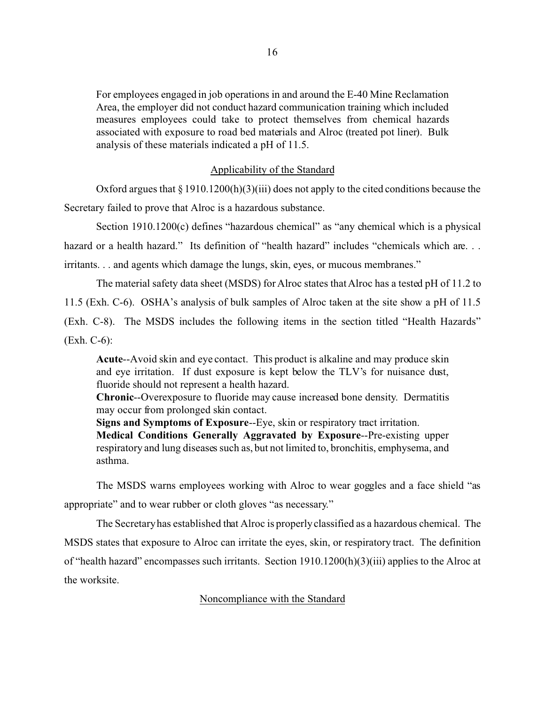For employees engaged in job operations in and around the E-40 Mine Reclamation Area, the employer did not conduct hazard communication training which included measures employees could take to protect themselves from chemical hazards associated with exposure to road bed materials and Alroc (treated pot liner). Bulk analysis of these materials indicated a pH of 11.5.

## Applicability of the Standard

Oxford argues that  $\S 1910.1200(h)(3)(iii)$  does not apply to the cited conditions because the Secretary failed to prove that Alroc is a hazardous substance.

Section 1910.1200(c) defines "hazardous chemical" as "any chemical which is a physical hazard or a health hazard." Its definition of "health hazard" includes "chemicals which are... irritants. . . and agents which damage the lungs, skin, eyes, or mucous membranes."

The material safety data sheet (MSDS) for Alroc states that Alroc has a tested pH of 11.2 to 11.5 (Exh. C-6). OSHA's analysis of bulk samples of Alroc taken at the site show a pH of 11.5 (Exh. C-8). The MSDS includes the following items in the section titled "Health Hazards" (Exh. C-6):

**Acute**--Avoid skin and eye contact. This product is alkaline and may produce skin and eye irritation. If dust exposure is kept below the TLV's for nuisance dust, fluoride should not represent a health hazard.

**Chronic**--Overexposure to fluoride may cause increased bone density. Dermatitis may occur from prolonged skin contact.

**Signs and Symptoms of Exposure**--Eye, skin or respiratory tract irritation. **Medical Conditions Generally Aggravated by Exposure**--Pre-existing upper respiratory and lung diseases such as, but not limited to, bronchitis, emphysema, and asthma.

The MSDS warns employees working with Alroc to wear goggles and a face shield "as appropriate" and to wear rubber or cloth gloves "as necessary."

The Secretary has established that Alroc is properly classified as a hazardous chemical. The MSDS states that exposure to Alroc can irritate the eyes, skin, or respiratory tract. The definition of "health hazard" encompasses such irritants. Section 1910.1200(h)(3)(iii) applies to the Alroc at the worksite.

## Noncompliance with the Standard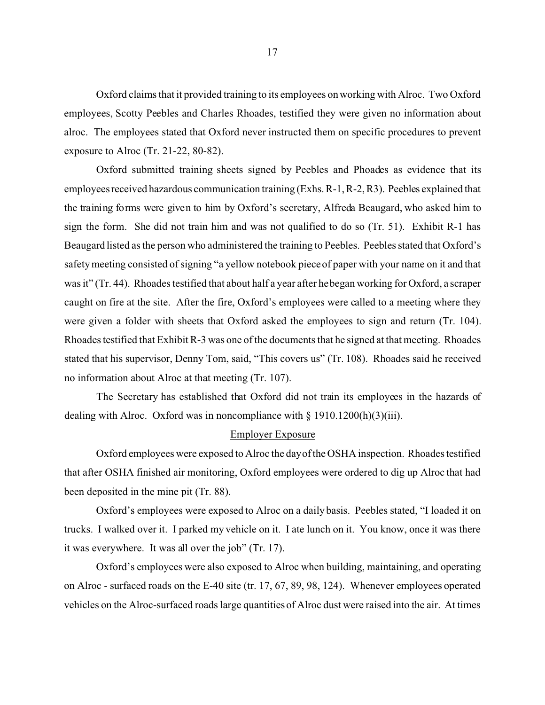Oxford claims that it provided training to its employees on working with Alroc. Two Oxford employees, Scotty Peebles and Charles Rhoades, testified they were given no information about alroc. The employees stated that Oxford never instructed them on specific procedures to prevent exposure to Alroc (Tr. 21-22, 80-82).

Oxford submitted training sheets signed by Peebles and Phoades as evidence that its employees received hazardous communication training (Exhs. R-1, R-2, R3). Peebles explained that the training forms were given to him by Oxford's secretary, Alfreda Beaugard, who asked him to sign the form. She did not train him and was not qualified to do so (Tr. 51). Exhibit R-1 has Beaugard listed as the person who administered the training to Peebles. Peebles stated that Oxford's safety meeting consisted of signing "a yellow notebook piece of paper with your name on it and that was it" (Tr. 44). Rhoades testified that about half a year after he began working for Oxford, a scraper caught on fire at the site. After the fire, Oxford's employees were called to a meeting where they were given a folder with sheets that Oxford asked the employees to sign and return (Tr. 104). Rhoades testified that Exhibit R-3 was one of the documents that he signed at that meeting. Rhoades stated that his supervisor, Denny Tom, said, "This covers us" (Tr. 108). Rhoades said he received no information about Alroc at that meeting (Tr. 107).

The Secretary has established that Oxford did not train its employees in the hazards of dealing with Alroc. Oxford was in noncompliance with § 1910.1200(h)(3)(iii).

#### Employer Exposure

Oxford employees were exposed to Alroc the dayof the OSHA inspection. Rhoades testified that after OSHA finished air monitoring, Oxford employees were ordered to dig up Alroc that had been deposited in the mine pit (Tr. 88).

Oxford's employees were exposed to Alroc on a daily basis. Peebles stated, "I loaded it on trucks. I walked over it. I parked my vehicle on it. I ate lunch on it. You know, once it was there it was everywhere. It was all over the job" (Tr. 17).

Oxford's employees were also exposed to Alroc when building, maintaining, and operating on Alroc - surfaced roads on the E-40 site (tr. 17, 67, 89, 98, 124). Whenever employees operated vehicles on the Alroc-surfaced roads large quantities of Alroc dust were raised into the air. At times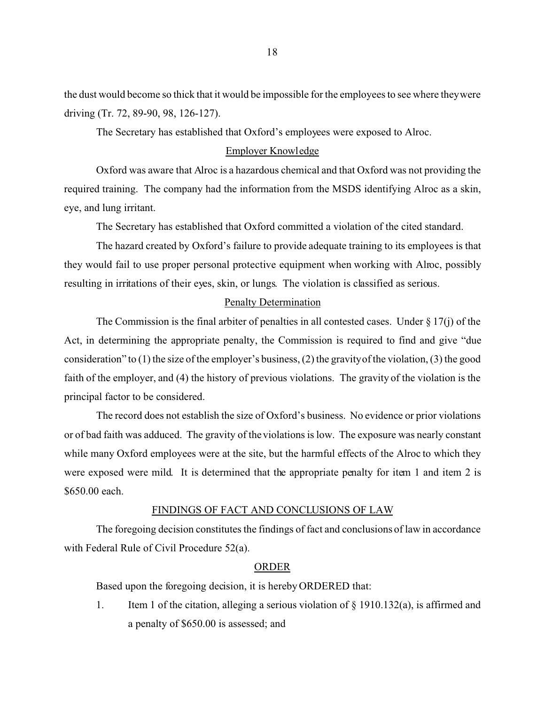the dust would become so thick that it would be impossible for the employees to see where theywere driving (Tr. 72, 89-90, 98, 126-127).

The Secretary has established that Oxford's employees were exposed to Alroc.

### Employer Knowledge

Oxford was aware that Alroc is a hazardous chemical and that Oxford was not providing the required training. The company had the information from the MSDS identifying Alroc as a skin, eye, and lung irritant.

The Secretary has established that Oxford committed a violation of the cited standard.

The hazard created by Oxford's failure to provide adequate training to its employees is that they would fail to use proper personal protective equipment when working with Alroc, possibly resulting in irritations of their eyes, skin, or lungs. The violation is classified as serious.

### Penalty Determination

The Commission is the final arbiter of penalties in all contested cases. Under  $\S 17(i)$  of the Act, in determining the appropriate penalty, the Commission is required to find and give "due consideration" to (1) the size of the employer's business, (2) the gravityof the violation, (3) the good faith of the employer, and (4) the history of previous violations. The gravity of the violation is the principal factor to be considered.

The record does not establish the size of Oxford's business. No evidence or prior violations or of bad faith was adduced. The gravity of the violations is low. The exposure was nearly constant while many Oxford employees were at the site, but the harmful effects of the Alroc to which they were exposed were mild. It is determined that the appropriate penalty for item 1 and item 2 is \$650.00 each.

### FINDINGS OF FACT AND CONCLUSIONS OF LAW

The foregoing decision constitutes the findings of fact and conclusions of law in accordance with Federal Rule of Civil Procedure 52(a).

### ORDER

Based upon the foregoing decision, it is hereby ORDERED that:

1. Item 1 of the citation, alleging a serious violation of  $\S$  1910.132(a), is affirmed and a penalty of \$650.00 is assessed; and